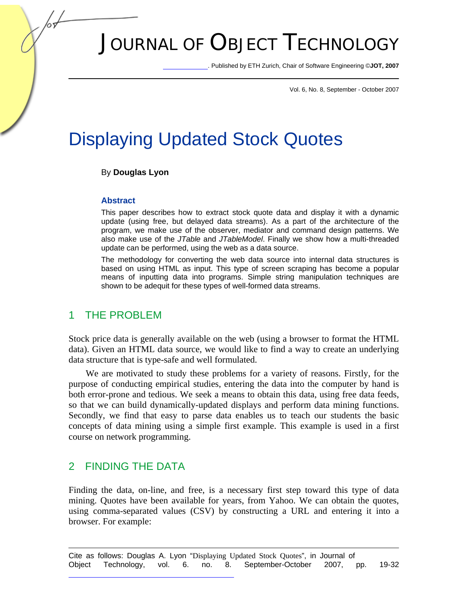# JOURNAL OF OBJECT TECHNOLOGY

. Published by ETH Zurich, Chair of Software Engineering ©**JOT, 2007** 

Vol. 6, No. 8, September - October 2007

## Displaying Updated Stock Quotes

#### By **Douglas Lyon**

#### **Abstract**

This paper describes how to extract stock quote data and display it with a dynamic update (using free, but delayed data streams). As a part of the architecture of the program, we make use of the observer, mediator and command design patterns. We also make use of the *JTable* and *JTableModel*. Finally we show how a multi-threaded update can be performed, using the web as a data source.

The methodology for converting the web data source into internal data structures is based on using HTML as input. This type of screen scraping has become a popular means of inputting data into programs. Simple string manipulation techniques are shown to be adequit for these types of well-formed data streams.

#### 1 THE PROBLEM

Stock price data is generally available on the web (using a browser to format the HTML data). Given an HTML data source, we would like to find a way to create an underlying data structure that is type-safe and well formulated.

We are motivated to study these problems for a variety of reasons. Firstly, for the purpose of conducting empirical studies, entering the data into the computer by hand is both error-prone and tedious. We seek a means to obtain this data, using free data feeds, so that we can build dynamically-updated displays and perform data mining functions. Secondly, we find that easy to parse data enables us to teach our students the basic concepts of data mining using a simple first example. This example is used in a first course on network programming.

#### 2 FINDING THE DATA

Finding the data, on-line, and free, is a necessary first step toward this type of data mining. Quotes have been available for years, from Yahoo. We can obtain the quotes, using comma-separated values (CSV) by constructing a URL and entering it into a browser. For example: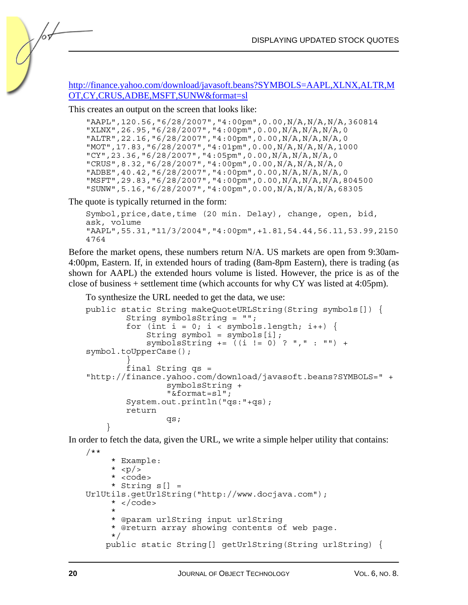http://finance.yahoo.com/download/javasoft.beans?SYMBOLS=AAPL,XLNX,ALTR,M OT,CY,CRUS,ADBE,MSFT,SUNW&format=sl

This creates an output on the screen that looks like:

 $\frac{1}{2}$ 

"AAPL",120.56,"6/28/2007","4:00pm",0.00,N/A,N/A,N/A,360814 "XLNX",26.95,"6/28/2007","4:00pm",0.00,N/A,N/A,N/A,0 "ALTR",22.16,"6/28/2007","4:00pm",0.00,N/A,N/A,N/A,0 "MOT",17.83,"6/28/2007","4:01pm",0.00,N/A,N/A,N/A,1000 "CY",23.36,"6/28/2007","4:05pm",0.00,N/A,N/A,N/A,0 "CRUS",8.32,"6/28/2007","4:00pm",0.00,N/A,N/A,N/A,0 "ADBE",40.42,"6/28/2007","4:00pm",0.00,N/A,N/A,N/A,0 "MSFT",29.83,"6/28/2007","4:00pm",0.00,N/A,N/A,N/A,804500 "SUNW",5.16,"6/28/2007","4:00pm",0.00,N/A,N/A,N/A,68305

The quote is typically returned in the form:

```
Symbol,price,date,time (20 min. Delay), change, open, bid, 
ask, volume 
"AAPL",55.31,"11/3/2004","4:00pm",+1.81,54.44,56.11,53.99,2150
4764
```
Before the market opens, these numbers return N/A. US markets are open from 9:30am-4:00pm, Eastern. If, in extended hours of trading (8am-8pm Eastern), there is trading (as shown for AAPL) the extended hours volume is listed. However, the price is as of the close of business + settlement time (which accounts for why CY was listed at 4:05pm).

To synthesize the URL needed to get the data, we use:

```
public static String makeQuoteURLString(String symbols[]) { 
         String symbolsString = ""; 
        for (int i = 0; i < symbols.length; i++) {
 String symbol = symbols[i]; 
 symbolsString += ((i != 0) ? "," : "") + 
symbol.toUpperCase(); 
\left\{\begin{array}{ccc} \end{array}\right\} final String qs = 
"http://finance.yahoo.com/download/javasoft.beans?SYMBOLS=" + 
                  symbolsString + 
                  "&format=sl"; 
         System.out.println("qs:"+qs); 
         return 
                  qs; 
     }
```
In order to fetch the data, given the URL, we write a simple helper utility that contains:

```
/** 
      * Example: 
     * < p / >* <code></sup>
      * String s[] = 
UrlUtils.getUrlString("http://www.docjava.com"); 
     * </code>
\star * @param urlString input urlString 
      * @return array showing contents of web page. 
      */ 
     public static String[] getUrlString(String urlString) {
```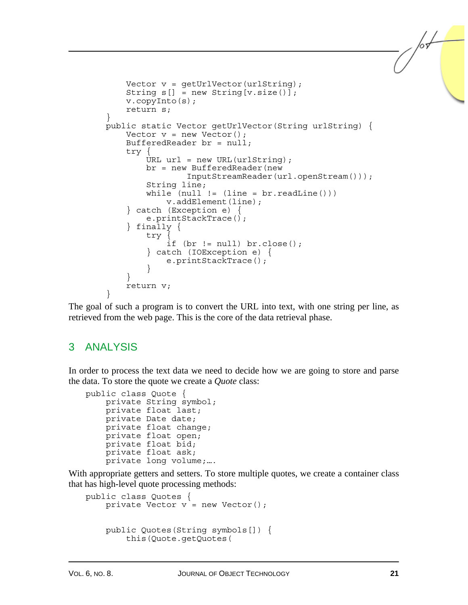```
Vector v = getUrlVector(urlString); String s[] = new String[v.size()]; 
         v.copyInto(s); 
         return s; 
 } 
     public static Vector getUrlVector(String urlString) { 
        Vector v = new Vector();
         BufferedReader br = null; 
         try { 
            URL url = new URL(urlString); br = new BufferedReader(new 
                     InputStreamReader(url.openStream())); 
             String line; 
            while (null := (line = br.readLine()) v.addElement(line); 
         } catch (Exception e) { 
            e.printStackTrace();
         } finally { 
             try { 
                if (br != null) br.close();
             } catch (IOException e) { 
                 e.printStackTrace(); 
 } 
 } 
         return v; 
     }
```
The goal of such a program is to convert the URL into text, with one string per line, as retrieved from the web page. This is the core of the data retrieval phase.

#### 3 ANALYSIS

In order to process the text data we need to decide how we are going to store and parse the data. To store the quote we create a *Quote* class:

```
public class Quote { 
     private String symbol; 
     private float last; 
     private Date date; 
     private float change; 
     private float open; 
     private float bid; 
     private float ask; 
     private long volume;….
```
With appropriate getters and setters. To store multiple quotes, we create a container class that has high-level quote processing methods:

```
public class Quotes { 
    private Vector v = new Vector();
     public Quotes(String symbols[]) { 
         this(Quote.getQuotes(
```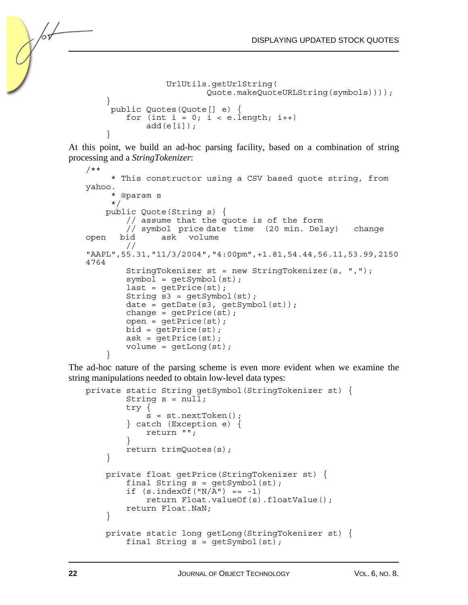```
 UrlUtils.getUrlString( 
                         Quote.makeQuoteURLString(symbols)))); 
 } 
     public Quotes(Quote[] e) { 
        for (int i = 0; i < e. length; i++)add(e[i]); }
```
At this point, we build an ad-hoc parsing facility, based on a combination of string processing and a *StringTokenizer*:

```
/** 
      * This constructor using a CSV based quote string, from 
yahoo. 
      * @param s 
      */ 
     public Quote(String s) { 
         // assume that the quote is of the form 
 // symbol price date time (20 min. Delay) change 
open bid ask volume 
\overline{\phantom{a}}"AAPL",55.31,"11/3/2004","4:00pm",+1.81,54.44,56.11,53.99,2150
4764 
         StringTokenizer st = new StringTokenizer(s, ","); 
         symbol = getSymbol(st); 
        last = getPrice(st);String s3 = qetsymbol(st);
        date = qetDate(s3, qetSymbol(st));change = qetPrice(st);
         open = getPrice(st); 
        bid = qetPrice(st);ask = qetPrice(st);
        volume = qetLong(st);
     }
```
The ad-hoc nature of the parsing scheme is even more evident when we examine the string manipulations needed to obtain low-level data types:

```
private static String getSymbol(StringTokenizer st) { 
        String s = null; try { 
             s = st.nextToken(); 
         } catch (Exception e) { 
        return "";
 } 
         return trimQuotes(s); 
     } 
     private float getPrice(StringTokenizer st) { 
        final String s = qetsymbol(st);
        if (s.indexOf('N/A") = -1) return Float.valueOf(s).floatValue(); 
         return Float.NaN; 
     } 
     private static long getLong(StringTokenizer st) { 
        final String s = getSymbol(st);
```
/sL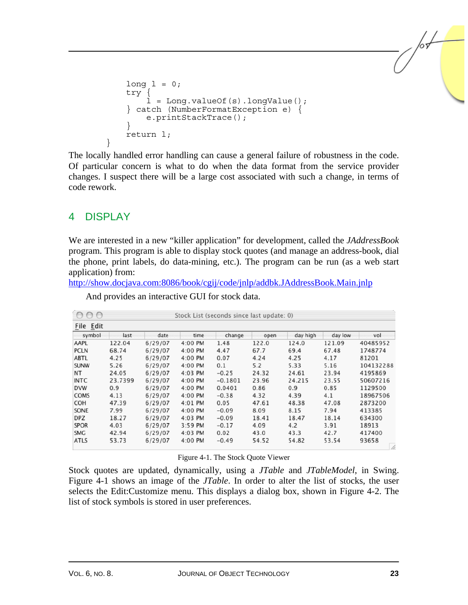```
long l = 0;
 try { 
l = Long.valueOf(s).longValue();
        } catch (NumberFormatException e) { 
           e.printStackTrace(); 
 } 
        return l;
```
The locally handled error handling can cause a general failure of robustness in the code. Of particular concern is what to do when the data format from the service provider changes. I suspect there will be a large cost associated with such a change, in terms of code rework.

## 4 DISPLAY

}

We are interested in a new "killer application" for development, called the *JAddressBook* program. This program is able to display stock quotes (and manage an address-book, dial the phone, print labels, do data-mining, etc.). The program can be run (as a web start application) from:

http://show.docjava.com:8086/book/cgij/code/jnlp/addbk.JAddressBook.Main.jnlp

| 000         | Stock List (seconds since last update: 0) |         |           |           |       |          |         |           |
|-------------|-------------------------------------------|---------|-----------|-----------|-------|----------|---------|-----------|
| File Edit   |                                           |         |           |           |       |          |         |           |
| symbol      | last                                      | date    | time      | change    | open  | day high | day low | vol       |
| AAPL        | 122.04                                    | 6/29/07 | 4:00 PM   | 1.48      | 122.0 | 124.0    | 121.09  | 40485952  |
| <b>PCLN</b> | 68.74                                     | 6/29/07 | 4:00 PM   | 4.47      | 67.7  | 69.4     | 67.48   | 1748774   |
| <b>ABTL</b> | 4.25                                      | 6/29/07 | 4:00 PM   | 0.07      | 4.24  | 4.25     | 4.17    | 81201     |
| <b>SUNW</b> | 5.26                                      | 6/29/07 | 4:00 PM   | 0.1       | 5.2   | 5.33     | 5.16    | 104132288 |
| NΤ          | 24.05                                     | 6/29/07 | 4:03 PM   | $-0.25$   | 24.32 | 24.61    | 23.94   | 4195869   |
| <b>INTC</b> | 23.7399                                   | 6/29/07 | 4:00 PM   | $-0.1801$ | 23.96 | 24.215   | 23.55   | 50607216  |
| <b>DVW</b>  | 0.9                                       | 6/29/07 | 4:00 PM   | 0.0401    | 0.86  | 0.9      | 0.85    | 1129500   |
| <b>COMS</b> | 4.13                                      | 6/29/07 | 4:00 PM   | $-0.38$   | 4.32  | 4.39     | 4.1     | 18967506  |
| COH         | 47.39                                     | 6/29/07 | 4:01 PM   | 0.05      | 47.61 | 48.38    | 47.08   | 2873200   |
| SONE        | 7.99                                      | 6/29/07 | 4:00 PM   | $-0.09$   | 8.09  | 8.15     | 7.94    | 413385    |
| <b>DPZ</b>  | 18.27                                     | 6/29/07 | $4:03$ PM | $-0.09$   | 18.41 | 18.47    | 18.14   | 634300    |
| <b>SPOR</b> | 4.03                                      | 6/29/07 | 3:59 PM   | $-0.17$   | 4.09  | 4.2      | 3.91    | 18913     |
| <b>SMG</b>  | 42.94                                     | 6/29/07 | 4:03 PM   | 0.02      | 43.0  | 43.3     | 42.7    | 417400    |
| <b>ATLS</b> | 53.73                                     | 6/29/07 | 4:00 PM   | $-0.49$   | 54.52 | 54.82    | 53.54   | 93658     |

And provides an interactive GUI for stock data.

Figure 4-1. The Stock Quote Viewer

Stock quotes are updated, dynamically, using a *JTable* and *JTableModel*, in Swing. Figure 4-1 shows an image of the *JTable*. In order to alter the list of stocks, the user selects the Edit:Customize menu. This displays a dialog box, shown in Figure 4-2. The list of stock symbols is stored in user preferences.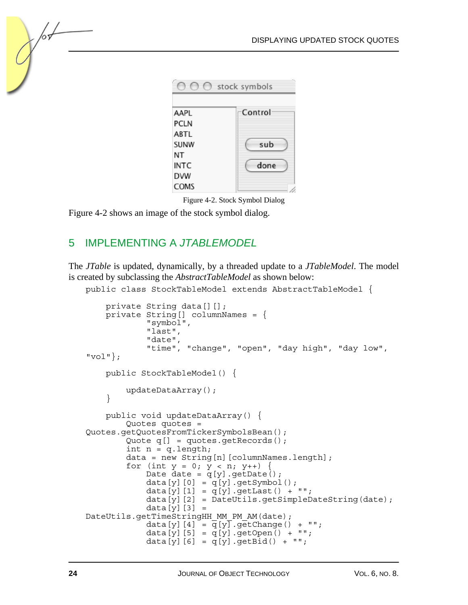

Figure 4-2. Stock Symbol Dialog

Figure 4-2 shows an image of the stock symbol dialog.

## 5 IMPLEMENTING A *JTABLEMODEL*

The *JTable* is updated, dynamically, by a threaded update to a *JTableModel*. The model is created by subclassing the *AbstractTableModel* as shown below:

```
public class StockTableModel extends AbstractTableModel { 
     private String data[][]; 
    private String[] columnNames = {
              "symbol", 
              "last", 
              "date", 
              "time", "change", "open", "day high", "day low", 
"vol";
     public StockTableModel() { 
         updateDataArray(); 
 } 
     public void updateDataArray() { 
         Quotes quotes = 
Quotes.getQuotesFromTickerSymbolsBean(); 
         Quote q[] = quotes.getRecords(); 
        int n = q.length;data = new String[n][columnNames.length];
         for (int y = 0; y < n; y_{++}) {
             Date date = q[y].getDate();
             data[y][0] = q[y].getSymbol();
             data[y][1] = q[y].getLast() + "";
             data[y][2] = DateUtils.getSimpleDateString(date);
             data[y][3] =DateUtils.getTimeStringHH_MM_PM_AM(date);
             data[y][4] = \overline{q}[y] \cdot getChange() + "";
             data[y][5] = q[y].getOpen() + "";data[y][6] = q[\bar{y}].getBid() + "";
```
 $\overline{b}$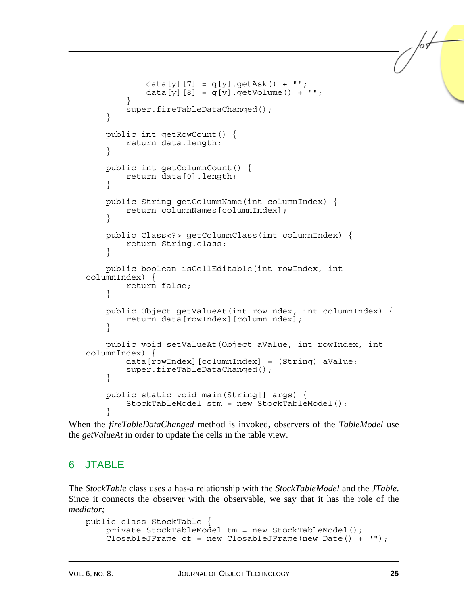```
data[y][7] = q[y].getAsk() + "";data[y][8] = q[y].getVolume() + "";
 } 
         super.fireTableDataChanged(); 
     } 
     public int getRowCount() { 
         return data.length; 
 } 
     public int getColumnCount() { 
         return data[0].length; 
 } 
     public String getColumnName(int columnIndex) { 
         return columnNames[columnIndex]; 
 } 
     public Class<?> getColumnClass(int columnIndex) { 
         return String.class; 
 } 
     public boolean isCellEditable(int rowIndex, int 
columnIndex) { 
         return false; 
     } 
     public Object getValueAt(int rowIndex, int columnIndex) { 
        return data[rowIndex][columnIndex];
     } 
     public void setValueAt(Object aValue, int rowIndex, int 
columnIndex) { 
        data[rowIndex][columnIndex] = (String) aValue;
         super.fireTableDataChanged(); 
     } 
     public static void main(String[] args) { 
         StockTableModel stm = new StockTableModel(); 
     }
```
When the *fireTableDataChanged* method is invoked, observers of the *TableModel* use the *getValueAt* in order to update the cells in the table view.

## 6 JTABLE

The *StockTable* class uses a has-a relationship with the *StockTableModel* and the *JTable*. Since it connects the observer with the observable, we say that it has the role of the *mediator;*

```
public class StockTable { 
    private StockTableModel tm = new StockTableModel(); 
    ClosableJFrame cf = new ClosedFrame(new Date() + "");
```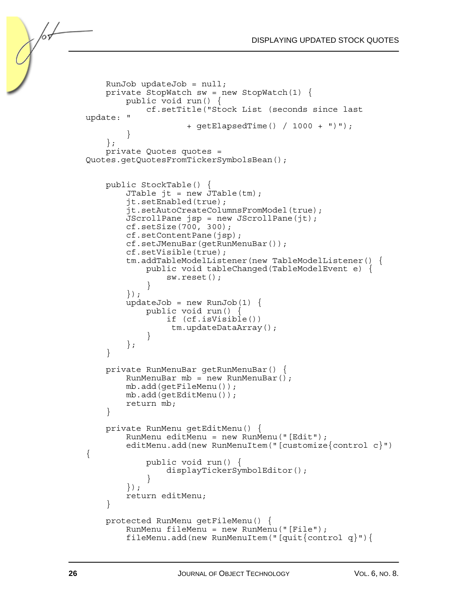```
 RunJob updateJob = null; 
     private StopWatch sw = new StopWatch(1) { 
         public void run() { 
             cf.setTitle("Stock List (seconds since last 
update: " 
                      + getElapsedTime() / 1000 + ")"); 
 } 
     }; 
     private Quotes quotes = 
Quotes.getQuotesFromTickerSymbolsBean(); 
     public StockTable() { 
        JTable jt = new JTable(tm); jt.setEnabled(true); 
         jt.setAutoCreateColumnsFromModel(true); 
         JScrollPane jsp = new JScrollPane(jt); 
         cf.setSize(700, 300); 
         cf.setContentPane(jsp); 
         cf.setJMenuBar(getRunMenuBar()); 
         cf.setVisible(true); 
         tm.addTableModelListener(new TableModelListener() { 
             public void tableChanged(TableModelEvent e) { 
                  sw.reset(); 
 } 
         }); 
        updateJob = new RunJob(1) \{ public void run() { 
                  if (cf.isVisible()) 
                   tm.updateDataArray(); 
 } 
         }; 
     } 
     private RunMenuBar getRunMenuBar() { 
         RunMenuBar mb = new RunMenuBar(); 
         mb.add(getFileMenu()); 
         mb.add(getEditMenu()); 
         return mb; 
     } 
     private RunMenu getEditMenu() { 
         RunMenu editMenu = new RunMenu("[Edit"); 
         editMenu.add(new RunMenuItem("[customize{control c}") 
{ 
             public void run() { 
                  displayTickerSymbolEditor(); 
 } 
         }); 
         return editMenu; 
     } 
     protected RunMenu getFileMenu() { 
         RunMenu fileMenu = new RunMenu("[File"); 
         fileMenu.add(new RunMenuItem("[quit{control q}"){
```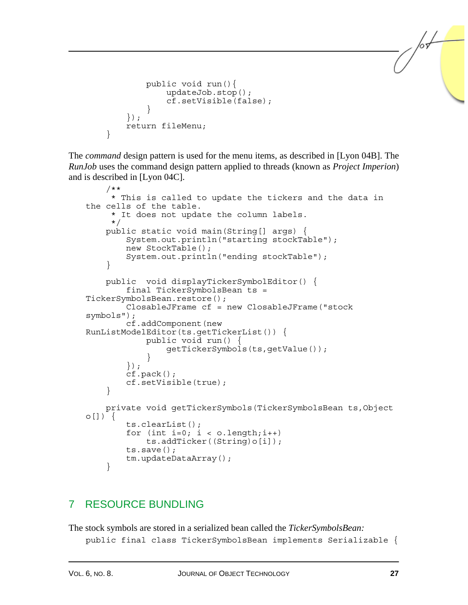```
 public void run(){ 
                  updateJob.stop(); 
                  cf.setVisible(false); 
 } 
         }); 
         return fileMenu; 
     }
```
The *command* design pattern is used for the menu items, as described in [Lyon 04B]. The *RunJob* uses the command design pattern applied to threads (known as *Project Imperion*) and is described in [Lyon 04C].

```
 /** 
      * This is called to update the tickers and the data in 
the cells of the table. 
      * It does not update the column labels. 
      */ 
     public static void main(String[] args) { 
         System.out.println("starting stockTable"); 
         new StockTable(); 
         System.out.println("ending stockTable"); 
     } 
     public void displayTickerSymbolEditor() { 
         final TickerSymbolsBean ts = 
TickerSymbolsBean.restore(); 
         ClosableJFrame cf = new ClosableJFrame("stock 
symbols"); 
         cf.addComponent(new 
RunListModelEditor(ts.getTickerList()) { 
             public void run() { 
                  getTickerSymbols(ts,getValue()); 
 } 
         }); 
         cf.pack(); 
         cf.setVisible(true); 
     } 
     private void getTickerSymbols(TickerSymbolsBean ts,Object 
o[]) { 
         ts.clearList(); 
        for (int i=0; i < o.length; i++) ts.addTicker((String)o[i]); 
         ts.save(); 
         tm.updateDataArray(); 
     }
```
## 7 RESOURCE BUNDLING

The stock symbols are stored in a serialized bean called the *TickerSymbolsBean:*  public final class TickerSymbolsBean implements Serializable {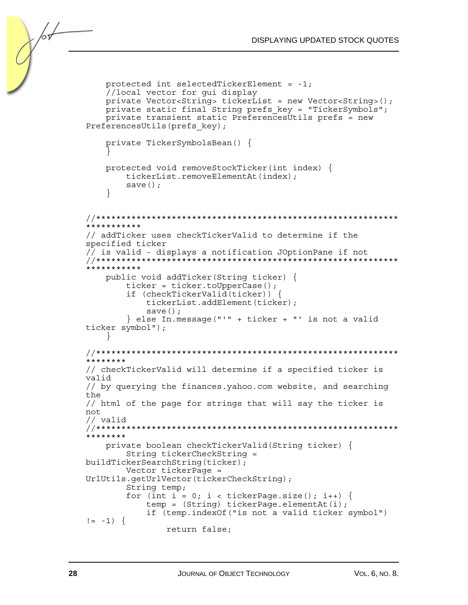```
 protected int selectedTickerElement = -1; 
     //local vector for gui display 
     private Vector<String> tickerList = new Vector<String>(); 
     private static final String prefs_key = "TickerSymbols"; 
     private transient static PreferencesUtils prefs = new 
PreferencesUtils(prefs key);
     private TickerSymbolsBean() { 
 } 
     protected void removeStockTicker(int index) { 
         tickerList.removeElementAt(index); 
         save(); 
     } 
//************************************************************
*********** 
// addTicker uses checkTickerValid to determine if the 
specified ticker 
// is valid - displays a notification JOptionPane if not 
//************************************************************
*********** 
     public void addTicker(String ticker) { 
         ticker = ticker.toUpperCase(); 
         if (checkTickerValid(ticker)) { 
              tickerList.addElement(ticker); 
             save();
         } else In.message("'" + ticker + "' is not a valid 
ticker symbol"); 
     } 
//************************************************************
******** 
// checkTickerValid will determine if a specified ticker is 
valid 
// by querying the finances.yahoo.com website, and searching 
the 
// html of the page for strings that will say the ticker is 
not 
// valid 
//************************************************************
******** 
     private boolean checkTickerValid(String ticker) { 
         String tickerCheckString = 
buildTickerSearchString(ticker); 
         Vector tickerPage = 
UrlUtils.getUrlVector(tickerCheckString); 
         String temp; 
        for (int i = 0; i < tickerPage.size(); i++) {
             temp = (String) tickerPage.elementAt(i);
              if (temp.indexOf("is not a valid ticker symbol") 
!= -1) {
                  return false;
```
/or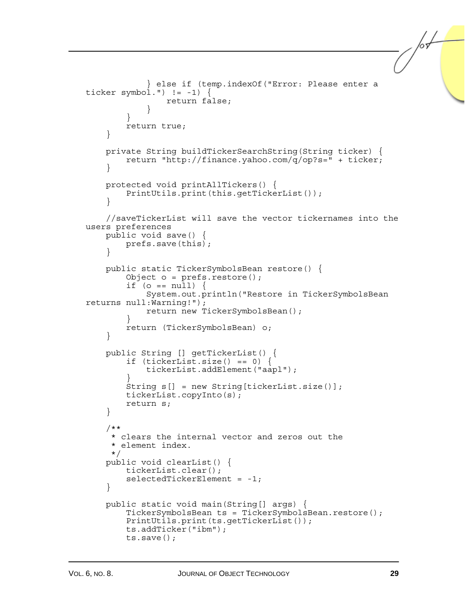```
 } else if (temp.indexOf("Error: Please enter a 
ticker symbol.") != -1) {
                  return false; 
 } 
 } 
         return true; 
     } 
     private String buildTickerSearchString(String ticker) { 
         return "http://finance.yahoo.com/q/op?s=" + ticker; 
     } 
     protected void printAllTickers() { 
         PrintUtils.print(this.getTickerList()); 
     } 
     //saveTickerList will save the vector tickernames into the 
users preferences 
     public void save() { 
         prefs.save(this); 
 } 
     public static TickerSymbolsBean restore() { 
         Object o = prefs.restore(); 
        if (o == null) {
              System.out.println("Restore in TickerSymbolsBean 
returns null:Warning!"); 
             return new TickerSymbolsBean(); 
 } 
         return (TickerSymbolsBean) o; 
     } 
     public String [] getTickerList() { 
        if (tickerList.size() == 0) {
             tickerList.addElement("aapl"); 
 } 
         String s[] = new String[tickerList.size()]; 
         tickerList.copyInto(s); 
         return s; 
     } 
     /** 
      * clears the internal vector and zeros out the 
      * element index. 
      */ 
     public void clearList() { 
         tickerList.clear(); 
        selectedTickerElement = -1;
     } 
     public static void main(String[] args) { 
         TickerSymbolsBean ts = TickerSymbolsBean.restore(); 
         PrintUtils.print(ts.getTickerList()); 
         ts.addTicker("ibm"); 
         ts.save();
```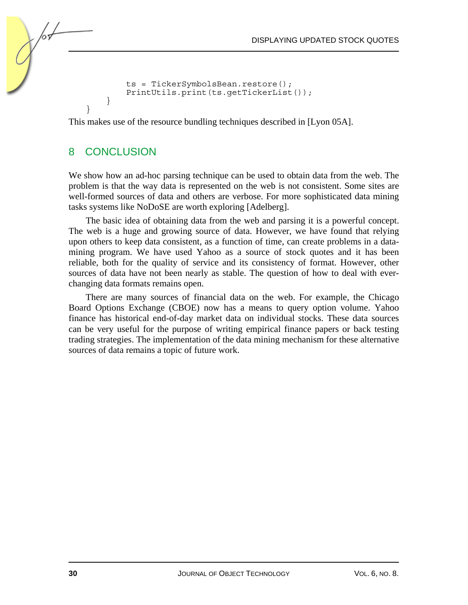```
 ts = TickerSymbolsBean.restore(); 
     PrintUtils.print(ts.getTickerList()); 
 }
```
This makes use of the resource bundling techniques described in [Lyon 05A].

## 8 CONCLUSION

}

We show how an ad-hoc parsing technique can be used to obtain data from the web. The problem is that the way data is represented on the web is not consistent. Some sites are well-formed sources of data and others are verbose. For more sophisticated data mining tasks systems like NoDoSE are worth exploring [Adelberg].

The basic idea of obtaining data from the web and parsing it is a powerful concept. The web is a huge and growing source of data. However, we have found that relying upon others to keep data consistent, as a function of time, can create problems in a datamining program. We have used Yahoo as a source of stock quotes and it has been reliable, both for the quality of service and its consistency of format. However, other sources of data have not been nearly as stable. The question of how to deal with everchanging data formats remains open.

There are many sources of financial data on the web. For example, the Chicago Board Options Exchange (CBOE) now has a means to query option volume. Yahoo finance has historical end-of-day market data on individual stocks. These data sources can be very useful for the purpose of writing empirical finance papers or back testing trading strategies. The implementation of the data mining mechanism for these alternative sources of data remains a topic of future work.